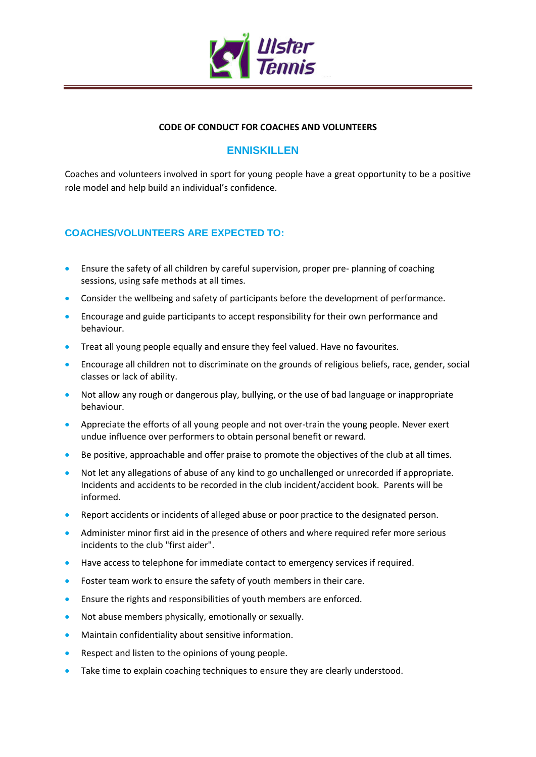

### **CODE OF CONDUCT FOR COACHES AND VOLUNTEERS**

# **ENNISKILLEN**

Coaches and volunteers involved in sport for young people have a great opportunity to be a positive role model and help build an individual's confidence.

### **COACHES/VOLUNTEERS ARE EXPECTED TO:**

- Ensure the safety of all children by careful supervision, proper pre- planning of coaching sessions, using safe methods at all times.
- Consider the wellbeing and safety of participants before the development of performance.
- Encourage and guide participants to accept responsibility for their own performance and behaviour.
- **•** Treat all young people equally and ensure they feel valued. Have no favourites.
- Encourage all children not to discriminate on the grounds of religious beliefs, race, gender, social classes or lack of ability.
- Not allow any rough or dangerous play, bullying, or the use of bad language or inappropriate behaviour.
- Appreciate the efforts of all young people and not over-train the young people. Never exert undue influence over performers to obtain personal benefit or reward.
- Be positive, approachable and offer praise to promote the objectives of the club at all times.
- Not let any allegations of abuse of any kind to go unchallenged or unrecorded if appropriate. Incidents and accidents to be recorded in the club incident/accident book. Parents will be informed.
- Report accidents or incidents of alleged abuse or poor practice to the designated person.
- Administer minor first aid in the presence of others and where required refer more serious incidents to the club "first aider".
- Have access to telephone for immediate contact to emergency services if required.
- Foster team work to ensure the safety of youth members in their care.
- Ensure the rights and responsibilities of youth members are enforced.
- Not abuse members physically, emotionally or sexually.
- Maintain confidentiality about sensitive information.
- Respect and listen to the opinions of young people.
- Take time to explain coaching techniques to ensure they are clearly understood.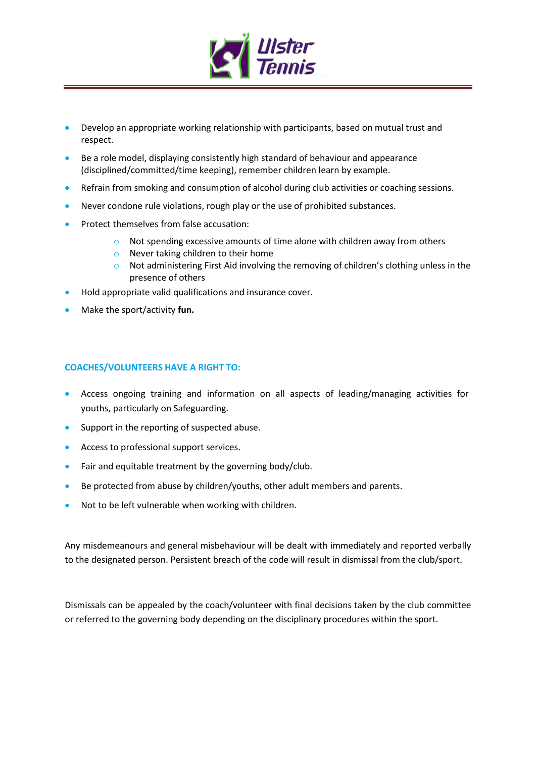

- Develop an appropriate working relationship with participants, based on mutual trust and respect.
- Be a role model, displaying consistently high standard of behaviour and appearance (disciplined/committed/time keeping), remember children learn by example.
- Refrain from smoking and consumption of alcohol during club activities or coaching sessions.
- Never condone rule violations, rough play or the use of prohibited substances.
- Protect themselves from false accusation:
	- $\circ$  Not spending excessive amounts of time alone with children away from others
	- o Never taking children to their home
	- o Not administering First Aid involving the removing of children's clothing unless in the presence of others
- Hold appropriate valid qualifications and insurance cover.
- Make the sport/activity **fun.**

### **COACHES/VOLUNTEERS HAVE A RIGHT TO:**

- Access ongoing training and information on all aspects of leading/managing activities for youths, particularly on Safeguarding.
- Support in the reporting of suspected abuse.
- **Access to professional support services.**
- Fair and equitable treatment by the governing body/club.
- Be protected from abuse by children/youths, other adult members and parents.
- Not to be left vulnerable when working with children.

Any misdemeanours and general misbehaviour will be dealt with immediately and reported verbally to the designated person. Persistent breach of the code will result in dismissal from the club/sport.

Dismissals can be appealed by the coach/volunteer with final decisions taken by the club committee or referred to the governing body depending on the disciplinary procedures within the sport.